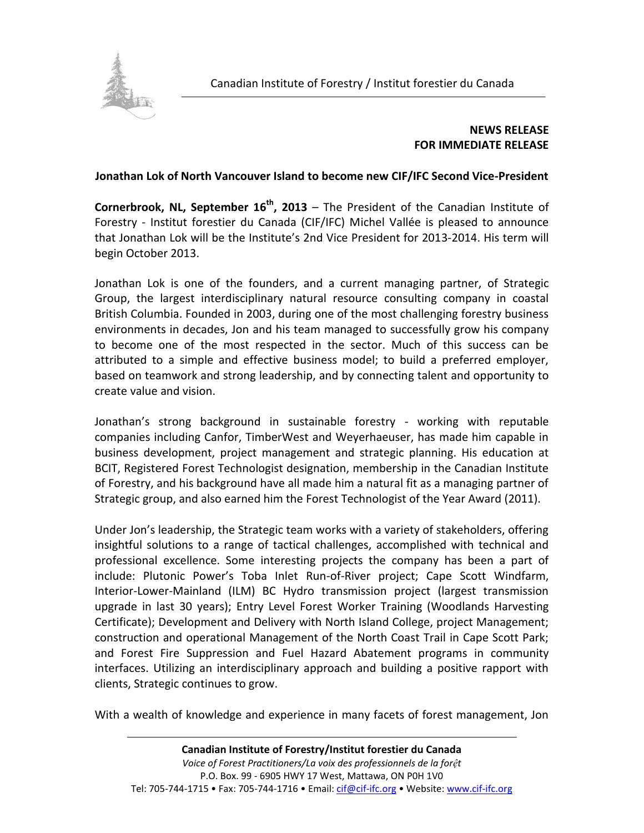

## **NEWS RELEASE FOR IMMEDIATE RELEASE**

## **Jonathan Lok of North Vancouver Island to become new CIF/IFC Second Vice-President**

**Cornerbrook, NL, September 16<sup>th</sup>, 2013** – The President of the Canadian Institute of Forestry - Institut forestier du Canada (CIF/IFC) Michel Vallée is pleased to announce that Jonathan Lok will be the Institute's 2nd Vice President for 2013-2014. His term will begin October 2013.

Jonathan Lok is one of the founders, and a current managing partner, of Strategic Group, the largest interdisciplinary natural resource consulting company in coastal British Columbia. Founded in 2003, during one of the most challenging forestry business environments in decades, Jon and his team managed to successfully grow his company to become one of the most respected in the sector. Much of this success can be attributed to a simple and effective business model; to build a preferred employer, based on teamwork and strong leadership, and by connecting talent and opportunity to create value and vision.

Jonathan's strong background in sustainable forestry - working with reputable companies including Canfor, TimberWest and Weyerhaeuser, has made him capable in business development, project management and strategic planning. His education at BCIT, Registered Forest Technologist designation, membership in the Canadian Institute of Forestry, and his background have all made him a natural fit as a managing partner of Strategic group, and also earned him the Forest Technologist of the Year Award (2011).

Under Jon's leadership, the Strategic team works with a variety of stakeholders, offering insightful solutions to a range of tactical challenges, accomplished with technical and professional excellence. Some interesting projects the company has been a part of include: Plutonic Power's Toba Inlet Run-of-River project; Cape Scott Windfarm, Interior-Lower-Mainland (ILM) BC Hydro transmission project (largest transmission upgrade in last 30 years); Entry Level Forest Worker Training (Woodlands Harvesting Certificate); Development and Delivery with North Island College, project Management; construction and operational Management of the North Coast Trail in Cape Scott Park; and Forest Fire Suppression and Fuel Hazard Abatement programs in community interfaces. Utilizing an interdisciplinary approach and building a positive rapport with clients, Strategic continues to grow.

With a wealth of knowledge and experience in many facets of forest management, Jon